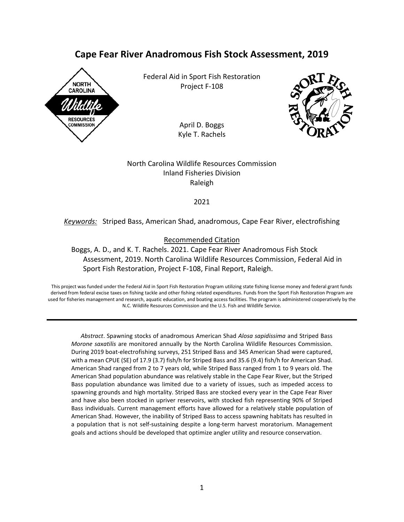# **Cape Fear River Anadromous Fish Stock Assessment, 2019**



Federal Aid in Sport Fish Restoration Project F-108

> April D. Boggs Kyle T. Rachels



North Carolina Wildlife Resources Commission Inland Fisheries Division Raleigh

#### 2021

## *Keywords:* Striped Bass, American Shad, anadromous, Cape Fear River, electrofishing

#### Recommended Citation

Boggs, A. D., and K. T. Rachels. 2021. Cape Fear River Anadromous Fish Stock Assessment, 2019. North Carolina Wildlife Resources Commission, Federal Aid in Sport Fish Restoration, Project F-108, Final Report, Raleigh.

This project was funded under the Federal Aid in Sport Fish Restoration Program utilizing state fishing license money and federal grant funds derived from federal excise taxes on fishing tackle and other fishing related expenditures. Funds from the Sport Fish Restoration Program are used for fisheries management and research, aquatic education, and boating access facilities. The program is administered cooperatively by the N.C. Wildlife Resources Commission and the U.S. Fish and Wildlife Service.

*Abstract*. Spawning stocks of anadromous American Shad *Alosa sapidissima* and Striped Bass *Morone saxatilis* are monitored annually by the North Carolina Wildlife Resources Commission. During 2019 boat-electrofishing surveys, 251 Striped Bass and 345 American Shad were captured, with a mean CPUE (SE) of 17.9 (3.7) fish/h for Striped Bass and 35.6 (9.4) fish/h for American Shad. American Shad ranged from 2 to 7 years old, while Striped Bass ranged from 1 to 9 years old. The American Shad population abundance was relatively stable in the Cape Fear River, but the Striped Bass population abundance was limited due to a variety of issues, such as impeded access to spawning grounds and high mortality. Striped Bass are stocked every year in the Cape Fear River and have also been stocked in upriver reservoirs, with stocked fish representing 90% of Striped Bass individuals. Current management efforts have allowed for a relatively stable population of American Shad. However, the inability of Striped Bass to access spawning habitats has resulted in a population that is not self-sustaining despite a long-term harvest moratorium. Management goals and actions should be developed that optimize angler utility and resource conservation.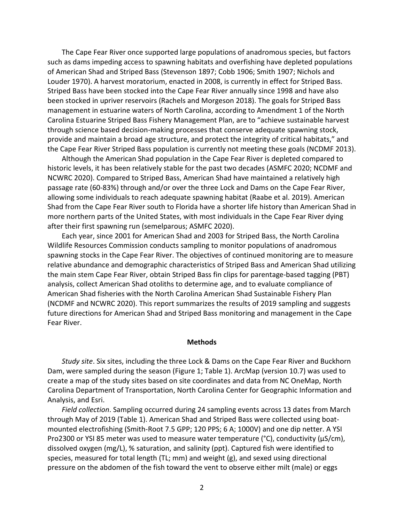The Cape Fear River once supported large populations of anadromous species, but factors such as dams impeding access to spawning habitats and overfishing have depleted populations of American Shad and Striped Bass (Stevenson 1897; Cobb 1906; Smith 1907; Nichols and Louder 1970). A harvest moratorium, enacted in 2008, is currently in effect for Striped Bass. Striped Bass have been stocked into the Cape Fear River annually since 1998 and have also been stocked in upriver reservoirs (Rachels and Morgeson 2018). The goals for Striped Bass management in estuarine waters of North Carolina, according to Amendment 1 of the North Carolina Estuarine Striped Bass Fishery Management Plan, are to "achieve sustainable harvest through science based decision-making processes that conserve adequate spawning stock, provide and maintain a broad age structure, and protect the integrity of critical habitats," and the Cape Fear River Striped Bass population is currently not meeting these goals (NCDMF 2013).

Although the American Shad population in the Cape Fear River is depleted compared to historic levels, it has been relatively stable for the past two decades (ASMFC 2020; NCDMF and NCWRC 2020). Compared to Striped Bass, American Shad have maintained a relatively high passage rate (60-83%) through and/or over the three Lock and Dams on the Cape Fear River, allowing some individuals to reach adequate spawning habitat (Raabe et al. 2019). American Shad from the Cape Fear River south to Florida have a shorter life history than American Shad in more northern parts of the United States, with most individuals in the Cape Fear River dying after their first spawning run (semelparous; ASMFC 2020).

Each year, since 2001 for American Shad and 2003 for Striped Bass, the North Carolina Wildlife Resources Commission conducts sampling to monitor populations of anadromous spawning stocks in the Cape Fear River. The objectives of continued monitoring are to measure relative abundance and demographic characteristics of Striped Bass and American Shad utilizing the main stem Cape Fear River, obtain Striped Bass fin clips for parentage-based tagging (PBT) analysis, collect American Shad otoliths to determine age, and to evaluate compliance of American Shad fisheries with the North Carolina American Shad Sustainable Fishery Plan (NCDMF and NCWRC 2020). This report summarizes the results of 2019 sampling and suggests future directions for American Shad and Striped Bass monitoring and management in the Cape Fear River.

#### **Methods**

*Study site*. Six sites, including the three Lock & Dams on the Cape Fear River and Buckhorn Dam, were sampled during the season (Figure 1; Table 1). ArcMap (version 10.7) was used to create a map of the study sites based on site coordinates and data from NC OneMap, North Carolina Department of Transportation, North Carolina Center for Geographic Information and Analysis, and Esri.

*Field collection*. Sampling occurred during 24 sampling events across 13 dates from March through May of 2019 (Table 1). American Shad and Striped Bass were collected using boatmounted electrofishing (Smith-Root 7.5 GPP; 120 PPS; 6 A; 1000V) and one dip netter. A YSI Pro2300 or YSI 85 meter was used to measure water temperature (°C), conductivity ( $\mu$ S/cm), dissolved oxygen (mg/L), % saturation, and salinity (ppt). Captured fish were identified to species, measured for total length (TL; mm) and weight (g), and sexed using directional pressure on the abdomen of the fish toward the vent to observe either milt (male) or eggs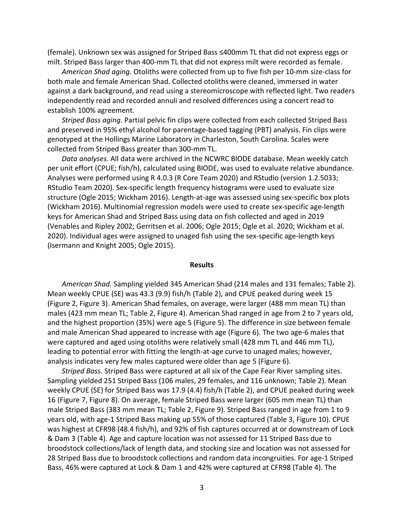(female). Unknown sex was assigned for Striped Bass ≤400mm TL that did not express eggs or milt. Striped Bass larger than 400-mm TL that did not express milt were recorded as female.

*American Shad aging*. Otoliths were collected from up to five fish per 10-mm size-class for both male and female American Shad. Collected otoliths were cleaned, immersed in water against a dark background, and read using a stereomicroscope with reflected light. Two readers independently read and recorded annuli and resolved differences using a concert read to establish 100% agreement.

*Striped Bass aging*. Partial pelvic fin clips were collected from each collected Striped Bass and preserved in 95% ethyl alcohol for parentage-based tagging (PBT) analysis. Fin clips were genotyped at the Hollings Marine Laboratory in Charleston, South Carolina. Scales were collected from Striped Bass greater than 300-mm TL.

*Data analyses*. All data were archived in the NCWRC BIODE database. Mean weekly catch per unit effort (CPUE; fish/h), calculated using BIODE, was used to evaluate relative abundance. Analyses were performed using R 4.0.3 (R Core Team 2020) and RStudio (version 1.2.5033; RStudio Team 2020). Sex-specific length frequency histograms were used to evaluate size structure (Ogle 2015; Wickham 2016). Length-at-age was assessed using sex-specific box plots (Wickham 2016). Multinomial regression models were used to create sex-specific age-length keys for American Shad and Striped Bass using data on fish collected and aged in 2019 (Venables and Ripley 2002; Gerritsen et al. 2006; Ogle 2015; Ogle et al. 2020; Wickham et al. 2020). Individual ages were assigned to unaged fish using the sex-specific age-length keys (Isermann and Knight 2005; Ogle 2015).

#### **Results**

*American Shad.* Sampling yielded 345 American Shad (214 males and 131 females; Table 2). Mean weekly CPUE (SE) was 43.3 (9.9) fish/h (Table 2), and CPUE peaked during week 15 (Figure 2, Figure 3). American Shad females, on average, were larger (488 mm mean TL) than males (423 mm mean TL; Table 2, Figure 4). American Shad ranged in age from 2 to 7 years old, and the highest proportion (35%) were age 5 (Figure 5). The difference in size between female and male American Shad appeared to increase with age (Figure 6). The two age-6 males that were captured and aged using otoliths were relatively small (428 mm TL and 446 mm TL), leading to potential error with fitting the length-at-age curve to unaged males; however, analysis indicates very few males captured were older than age 5 (Figure 6).

*Striped Bass.* Striped Bass were captured at all six of the Cape Fear River sampling sites. Sampling yielded 251 Striped Bass (106 males, 29 females, and 116 unknown; Table 2). Mean weekly CPUE (SE) for Striped Bass was 17.9 (4.4) fish/h (Table 2), and CPUE peaked during week 16 (Figure 7, Figure 8). On average, female Striped Bass were larger (605 mm mean TL) than male Striped Bass (383 mm mean TL; Table 2, Figure 9). Striped Bass ranged in age from 1 to 9 years old, with age-1 Striped Bass making up 55% of those captured (Table 3, Figure 10). CPUE was highest at CFR98 (48.4 fish/h), and 92% of fish captures occurred at or downstream of Lock & Dam 3 (Table 4). Age and capture location was not assessed for 11 Striped Bass due to broodstock collections/lack of length data, and stocking size and location was not assessed for 28 Striped Bass due to broodstock collections and random data incongruities. For age-1 Striped Bass, 46% were captured at Lock & Dam 1 and 42% were captured at CFR98 (Table 4). The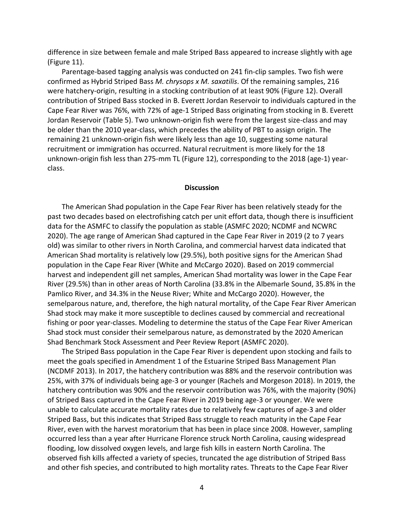difference in size between female and male Striped Bass appeared to increase slightly with age (Figure 11).

Parentage-based tagging analysis was conducted on 241 fin-clip samples. Two fish were confirmed as Hybrid Striped Bass *M. chrysops x M. saxatilis*. Of the remaining samples, 216 were hatchery-origin, resulting in a stocking contribution of at least 90% (Figure 12). Overall contribution of Striped Bass stocked in B. Everett Jordan Reservoir to individuals captured in the Cape Fear River was 76%, with 72% of age-1 Striped Bass originating from stocking in B. Everett Jordan Reservoir (Table 5). Two unknown-origin fish were from the largest size-class and may be older than the 2010 year-class, which precedes the ability of PBT to assign origin. The remaining 21 unknown-origin fish were likely less than age 10, suggesting some natural recruitment or immigration has occurred. Natural recruitment is more likely for the 18 unknown-origin fish less than 275-mm TL (Figure 12), corresponding to the 2018 (age-1) yearclass.

#### **Discussion**

The American Shad population in the Cape Fear River has been relatively steady for the past two decades based on electrofishing catch per unit effort data, though there is insufficient data for the ASMFC to classify the population as stable (ASMFC 2020; NCDMF and NCWRC 2020). The age range of American Shad captured in the Cape Fear River in 2019 (2 to 7 years old) was similar to other rivers in North Carolina, and commercial harvest data indicated that American Shad mortality is relatively low (29.5%), both positive signs for the American Shad population in the Cape Fear River (White and McCargo 2020). Based on 2019 commercial harvest and independent gill net samples, American Shad mortality was lower in the Cape Fear River (29.5%) than in other areas of North Carolina (33.8% in the Albemarle Sound, 35.8% in the Pamlico River, and 34.3% in the Neuse River; White and McCargo 2020). However, the semelparous nature, and, therefore, the high natural mortality, of the Cape Fear River American Shad stock may make it more susceptible to declines caused by commercial and recreational fishing or poor year-classes. Modeling to determine the status of the Cape Fear River American Shad stock must consider their semelparous nature, as demonstrated by the 2020 American Shad Benchmark Stock Assessment and Peer Review Report (ASMFC 2020).

The Striped Bass population in the Cape Fear River is dependent upon stocking and fails to meet the goals specified in Amendment 1 of the Estuarine Striped Bass Management Plan (NCDMF 2013). In 2017, the hatchery contribution was 88% and the reservoir contribution was 25%, with 37% of individuals being age-3 or younger (Rachels and Morgeson 2018). In 2019, the hatchery contribution was 90% and the reservoir contribution was 76%, with the majority (90%) of Striped Bass captured in the Cape Fear River in 2019 being age-3 or younger. We were unable to calculate accurate mortality rates due to relatively few captures of age-3 and older Striped Bass, but this indicates that Striped Bass struggle to reach maturity in the Cape Fear River, even with the harvest moratorium that has been in place since 2008. However, sampling occurred less than a year after Hurricane Florence struck North Carolina, causing widespread flooding, low dissolved oxygen levels, and large fish kills in eastern North Carolina. The observed fish kills affected a variety of species, truncated the age distribution of Striped Bass and other fish species, and contributed to high mortality rates. Threats to the Cape Fear River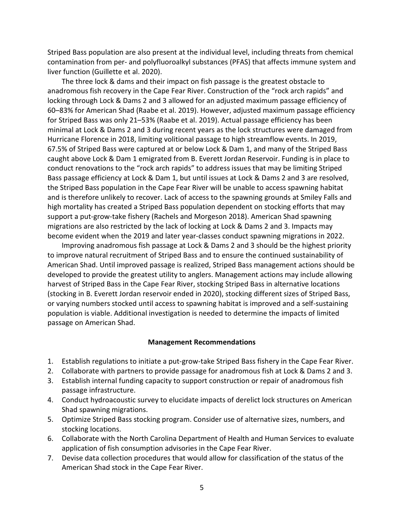Striped Bass population are also present at the individual level, including threats from chemical contamination from per- and polyfluoroalkyl substances (PFAS) that affects immune system and liver function (Guillette et al. 2020).

The three lock & dams and their impact on fish passage is the greatest obstacle to anadromous fish recovery in the Cape Fear River. Construction of the "rock arch rapids" and locking through Lock & Dams 2 and 3 allowed for an adjusted maximum passage efficiency of 60–83% for American Shad (Raabe et al. 2019). However, adjusted maximum passage efficiency for Striped Bass was only 21–53% (Raabe et al. 2019). Actual passage efficiency has been minimal at Lock & Dams 2 and 3 during recent years as the lock structures were damaged from Hurricane Florence in 2018, limiting volitional passage to high streamflow events. In 2019, 67.5% of Striped Bass were captured at or below Lock & Dam 1, and many of the Striped Bass caught above Lock & Dam 1 emigrated from B. Everett Jordan Reservoir. Funding is in place to conduct renovations to the "rock arch rapids" to address issues that may be limiting Striped Bass passage efficiency at Lock & Dam 1, but until issues at Lock & Dams 2 and 3 are resolved, the Striped Bass population in the Cape Fear River will be unable to access spawning habitat and is therefore unlikely to recover. Lack of access to the spawning grounds at Smiley Falls and high mortality has created a Striped Bass population dependent on stocking efforts that may support a put-grow-take fishery (Rachels and Morgeson 2018). American Shad spawning migrations are also restricted by the lack of locking at Lock & Dams 2 and 3. Impacts may become evident when the 2019 and later year-classes conduct spawning migrations in 2022.

Improving anadromous fish passage at Lock & Dams 2 and 3 should be the highest priority to improve natural recruitment of Striped Bass and to ensure the continued sustainability of American Shad. Until improved passage is realized, Striped Bass management actions should be developed to provide the greatest utility to anglers. Management actions may include allowing harvest of Striped Bass in the Cape Fear River, stocking Striped Bass in alternative locations (stocking in B. Everett Jordan reservoir ended in 2020), stocking different sizes of Striped Bass, or varying numbers stocked until access to spawning habitat is improved and a self-sustaining population is viable. Additional investigation is needed to determine the impacts of limited passage on American Shad.

## **Management Recommendations**

- 1. Establish regulations to initiate a put-grow-take Striped Bass fishery in the Cape Fear River.
- 2. Collaborate with partners to provide passage for anadromous fish at Lock & Dams 2 and 3.
- 3. Establish internal funding capacity to support construction or repair of anadromous fish passage infrastructure.
- 4. Conduct hydroacoustic survey to elucidate impacts of derelict lock structures on American Shad spawning migrations.
- 5. Optimize Striped Bass stocking program. Consider use of alternative sizes, numbers, and stocking locations.
- 6. Collaborate with the North Carolina Department of Health and Human Services to evaluate application of fish consumption advisories in the Cape Fear River.
- 7. Devise data collection procedures that would allow for classification of the status of the American Shad stock in the Cape Fear River.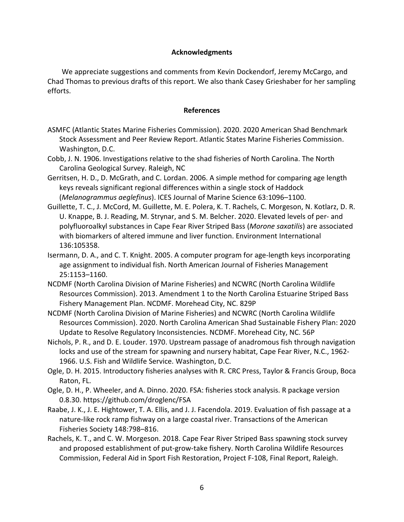# **Acknowledgments**

We appreciate suggestions and comments from Kevin Dockendorf, Jeremy McCargo, and Chad Thomas to previous drafts of this report. We also thank Casey Grieshaber for her sampling efforts.

## **References**

- ASMFC (Atlantic States Marine Fisheries Commission). 2020. 2020 American Shad Benchmark Stock Assessment and Peer Review Report. Atlantic States Marine Fisheries Commission. Washington, D.C.
- Cobb, J. N. 1906. Investigations relative to the shad fisheries of North Carolina. The North Carolina Geological Survey. Raleigh, NC
- Gerritsen, H. D., D. McGrath, and C. Lordan. 2006. A simple method for comparing age length keys reveals significant regional differences within a single stock of Haddock (*Melanogrammus aeglefinus*). ICES Journal of Marine Science 63:1096–1100.
- Guillette, T. C., J. McCord, M. Guillette, M. E. Polera, K. T. Rachels, C. Morgeson, N. Kotlarz, D. R. U. Knappe, B. J. Reading, M. Strynar, and S. M. Belcher. 2020. Elevated levels of per- and polyfluoroalkyl substances in Cape Fear River Striped Bass (*Morone saxatilis*) are associated with biomarkers of altered immune and liver function. Environment International 136:105358.
- Isermann, D. A., and C. T. Knight. 2005. A computer program for age-length keys incorporating age assignment to individual fish. North American Journal of Fisheries Management 25:1153–1160.
- NCDMF (North Carolina Division of Marine Fisheries) and NCWRC (North Carolina Wildlife Resources Commission). 2013. Amendment 1 to the North Carolina Estuarine Striped Bass Fishery Management Plan. NCDMF. Morehead City, NC. 829P
- NCDMF (North Carolina Division of Marine Fisheries) and NCWRC (North Carolina Wildlife Resources Commission). 2020. North Carolina American Shad Sustainable Fishery Plan: 2020 Update to Resolve Regulatory Inconsistencies. NCDMF. Morehead City, NC. 56P
- Nichols, P. R., and D. E. Louder. 1970. Upstream passage of anadromous fish through navigation locks and use of the stream for spawning and nursery habitat, Cape Fear River, N.C., 1962- 1966. U.S. Fish and Wildlife Service. Washington, D.C.
- Ogle, D. H. 2015. Introductory fisheries analyses with R. CRC Press, Taylor & Francis Group, Boca Raton, FL.
- Ogle, D. H., P. Wheeler, and A. Dinno. 2020. FSA: fisheries stock analysis. R package version 0.8.30. https://github.com/droglenc/FSA
- Raabe, J. K., J. E. Hightower, T. A. Ellis, and J. J. Facendola. 2019. Evaluation of fish passage at a nature-like rock ramp fishway on a large coastal river. Transactions of the American Fisheries Society 148:798–816.
- Rachels, K. T., and C. W. Morgeson. 2018. Cape Fear River Striped Bass spawning stock survey and proposed establishment of put-grow-take fishery. North Carolina Wildlife Resources Commission, Federal Aid in Sport Fish Restoration, Project F-108, Final Report, Raleigh.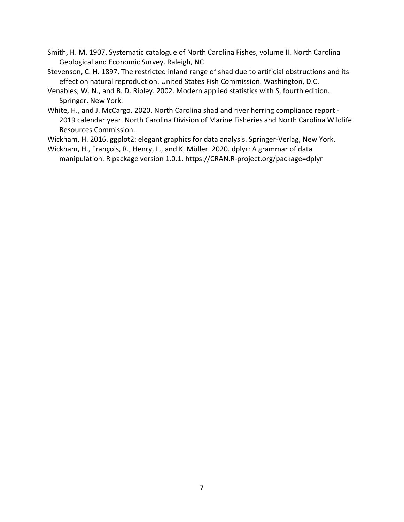- Smith, H. M. 1907. Systematic catalogue of North Carolina Fishes, volume II. North Carolina Geological and Economic Survey. Raleigh, NC
- Stevenson, C. H. 1897. The restricted inland range of shad due to artificial obstructions and its effect on natural reproduction. United States Fish Commission. Washington, D.C.
- Venables, W. N., and B. D. Ripley. 2002. Modern applied statistics with S, fourth edition. Springer, New York.
- White, H., and J. McCargo. 2020. North Carolina shad and river herring compliance report 2019 calendar year. North Carolina Division of Marine Fisheries and North Carolina Wildlife Resources Commission.
- Wickham, H. 2016. ggplot2: elegant graphics for data analysis. Springer-Verlag, New York.
- Wickham, H., François, R., Henry, L., and K. Müller. 2020. dplyr: A grammar of data manipulation. R package version 1.0.1. https://CRAN.R-project.org/package=dplyr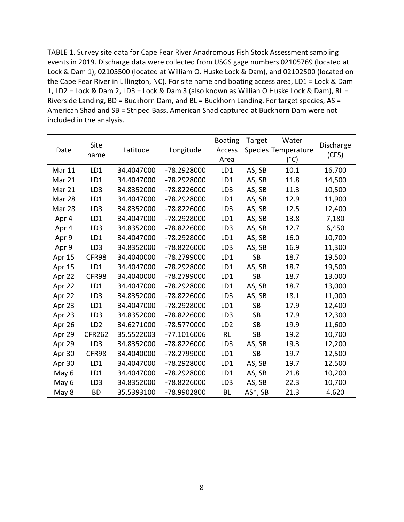TABLE 1. Survey site data for Cape Fear River Anadromous Fish Stock Assessment sampling events in 2019. Discharge data were collected from USGS gage numbers 02105769 (located at Lock & Dam 1), 02105500 (located at William O. Huske Lock & Dam), and 02102500 (located on the Cape Fear River in Lillington, NC). For site name and boating access area, LD1 = Lock & Dam 1, LD2 = Lock & Dam 2, LD3 = Lock & Dam 3 (also known as Willian O Huske Lock & Dam), RL = Riverside Landing, BD = Buckhorn Dam, and BL = Buckhorn Landing. For target species, AS = American Shad and SB = Striped Bass. American Shad captured at Buckhorn Dam were not included in the analysis.

|        |                 |            |               | <b>Boating</b>  | Target      | Water               |           |
|--------|-----------------|------------|---------------|-----------------|-------------|---------------------|-----------|
| Date   | Site            | Latitude   | Longitude     | Access          |             | Species Temperature | Discharge |
|        | name            |            |               | Area            |             | $(^{\circ}C)$       | (CFS)     |
| Mar 11 | LD1             | 34.4047000 | -78.2928000   | LD1             | AS, SB      | 10.1                | 16,700    |
| Mar 21 | LD1             | 34.4047000 | -78.2928000   | LD1             | AS, SB      | 11.8                | 14,500    |
| Mar 21 | LD <sub>3</sub> | 34.8352000 | -78.8226000   | LD3             | AS, SB      | 11.3                | 10,500    |
| Mar 28 | LD1             | 34.4047000 | -78.2928000   | LD1             | AS, SB      | 12.9                | 11,900    |
| Mar 28 | LD3             | 34.8352000 | -78.8226000   | LD3             | AS, SB      | 12.5                | 12,400    |
| Apr 4  | LD1             | 34.4047000 | -78.2928000   | LD1             | AS, SB      | 13.8                | 7,180     |
| Apr 4  | LD <sub>3</sub> | 34.8352000 | -78.8226000   | LD3             | AS, SB      | 12.7                | 6,450     |
| Apr 9  | LD1             | 34.4047000 | -78.2928000   | LD1             | AS, SB      | 16.0                | 10,700    |
| Apr 9  | LD <sub>3</sub> | 34.8352000 | -78.8226000   | LD3             | AS, SB      | 16.9                | 11,300    |
| Apr 15 | CFR98           | 34.4040000 | -78.2799000   | LD1             | <b>SB</b>   | 18.7                | 19,500    |
| Apr 15 | LD1             | 34.4047000 | -78.2928000   | LD1             | AS, SB      | 18.7                | 19,500    |
| Apr 22 | CFR98           | 34.4040000 | -78.2799000   | LD1             | <b>SB</b>   | 18.7                | 13,000    |
| Apr 22 | LD1             | 34.4047000 | -78.2928000   | LD1             | AS, SB      | 18.7                | 13,000    |
| Apr 22 | LD3             | 34.8352000 | -78.8226000   | LD <sub>3</sub> | AS, SB      | 18.1                | 11,000    |
| Apr 23 | LD1             | 34.4047000 | -78.2928000   | LD1             | <b>SB</b>   | 17.9                | 12,400    |
| Apr 23 | LD <sub>3</sub> | 34.8352000 | -78.8226000   | LD3             | <b>SB</b>   | 17.9                | 12,300    |
| Apr 26 | LD <sub>2</sub> | 34.6271000 | -78.5770000   | LD <sub>2</sub> | <b>SB</b>   | 19.9                | 11,600    |
| Apr 29 | <b>CFR262</b>   | 35.5522003 | $-77.1016006$ | RL              | <b>SB</b>   | 19.2                | 10,700    |
| Apr 29 | LD3             | 34.8352000 | -78.8226000   | LD3             | AS, SB      | 19.3                | 12,200    |
| Apr 30 | CFR98           | 34.4040000 | -78.2799000   | LD1             | <b>SB</b>   | 19.7                | 12,500    |
| Apr 30 | LD1             | 34.4047000 | -78.2928000   | LD1             | AS, SB      | 19.7                | 12,500    |
| May 6  | LD1             | 34.4047000 | -78.2928000   | LD1             | AS, SB      | 21.8                | 10,200    |
| May 6  | LD3             | 34.8352000 | -78.8226000   | LD3             | AS, SB      | 22.3                | 10,700    |
| May 8  | <b>BD</b>       | 35.5393100 | -78.9902800   | BL              | $AS^*$ , SB | 21.3                | 4,620     |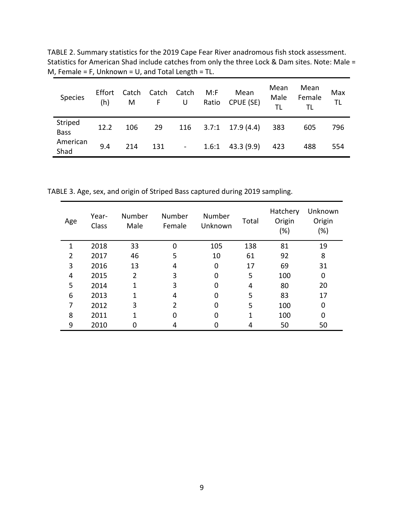TABLE 2. Summary statistics for the 2019 Cape Fear River anadromous fish stock assessment. Statistics for American Shad include catches from only the three Lock & Dam sites. Note: Male = M, Female = F, Unknown = U, and Total Length = TL.

| Species                | Effort<br>(h) | Catch<br>M | Catch<br>F. | Catch<br>U     | M: F<br>Ratio | Mean<br>CPUE (SE) | Mean<br>Male<br>TL | Mean<br>Female<br>ΤL | Max<br>TL |
|------------------------|---------------|------------|-------------|----------------|---------------|-------------------|--------------------|----------------------|-----------|
| Striped<br><b>Bass</b> | 12.2          | 106        | 29          | 116            | 3.7:1         | 17.9 (4.4)        | 383                | 605                  | 796       |
| American<br>Shad       | 9.4           | 214        | 131         | $\blacksquare$ | 1.6:1         | 43.3(9.9)         | 423                | 488                  | 554       |

TABLE 3. Age, sex, and origin of Striped Bass captured during 2019 sampling.

| Age            | Year-<br>Class | Number<br>Male | Number<br>Female | Number<br>Unknown | Total | Hatchery<br>Origin<br>$(\%)$ | Unknown<br>Origin<br>(%) |
|----------------|----------------|----------------|------------------|-------------------|-------|------------------------------|--------------------------|
| 1              | 2018           | 33             | 0                | 105               | 138   | 81                           | 19                       |
| $\overline{2}$ | 2017           | 46             | 5                | 10                | 61    | 92                           | 8                        |
| 3              | 2016           | 13             | 4                | 0                 | 17    | 69                           | 31                       |
| 4              | 2015           | $\overline{2}$ | 3                | $\Omega$          | 5     | 100                          | 0                        |
| 5              | 2014           | 1              | 3                | 0                 | 4     | 80                           | 20                       |
| 6              | 2013           |                | 4                | 0                 | 5     | 83                           | 17                       |
| 7              | 2012           | 3              | $\overline{2}$   | 0                 | 5     | 100                          | 0                        |
| 8              | 2011           |                | 0                | 0                 | 1     | 100                          | 0                        |
| 9              | 2010           |                | 4                |                   | 4     | 50                           | 50                       |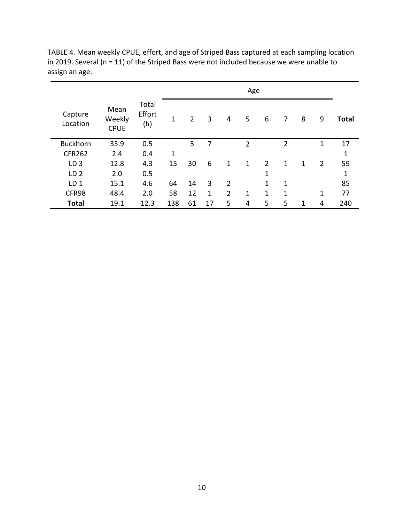|                     |                               |                        | Age |                |    |                |                |                |                |   |                |              |
|---------------------|-------------------------------|------------------------|-----|----------------|----|----------------|----------------|----------------|----------------|---|----------------|--------------|
| Capture<br>Location | Mean<br>Weekly<br><b>CPUE</b> | Total<br>Effort<br>(h) | 1   | $\overline{2}$ | 3  | 4              | 5              | 6              | 7              | 8 | 9              | <b>Total</b> |
| <b>Buckhorn</b>     | 33.9                          | 0.5                    |     | 5              | 7  |                | $\overline{2}$ |                | $\overline{2}$ |   | 1              | 17           |
| <b>CFR262</b>       | 2.4                           | 0.4                    | 1   |                |    |                |                |                |                |   |                | 1            |
| LD <sub>3</sub>     | 12.8                          | 4.3                    | 15  | 30             | 6  | 1              | $\mathbf{1}$   | $\overline{2}$ | $\mathbf{1}$   | 1 | $\overline{2}$ | 59           |
| LD <sub>2</sub>     | 2.0                           | 0.5                    |     |                |    |                |                | 1              |                |   |                | 1            |
| LD <sub>1</sub>     | 15.1                          | 4.6                    | 64  | 14             | 3  | $\overline{2}$ |                | 1              | 1              |   |                | 85           |
| CFR98               | 48.4                          | 2.0                    | 58  | 12             | 1  | $\overline{2}$ | 1              | 1              | 1              |   | 1              | 77           |
| <b>Total</b>        | 19.1                          | 12.3                   | 138 | 61             | 17 | 5              | 4              | 5              | 5              | 1 | 4              | 240          |

TABLE 4. Mean weekly CPUE, effort, and age of Striped Bass captured at each sampling location in 2019. Several (n = 11) of the Striped Bass were not included because we were unable to assign an age.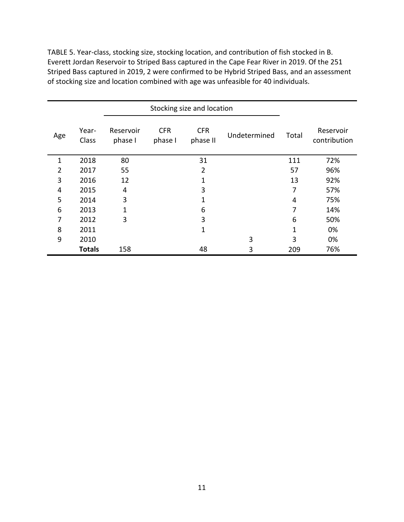TABLE 5. Year-class, stocking size, stocking location, and contribution of fish stocked in B. Everett Jordan Reservoir to Striped Bass captured in the Cape Fear River in 2019. Of the 251 Striped Bass captured in 2019, 2 were confirmed to be Hybrid Striped Bass, and an assessment of stocking size and location combined with age was unfeasible for 40 individuals.

| Age | Year-<br>Class | Reservoir<br>phase I | <b>CFR</b><br>phase I | <b>CFR</b><br>phase II | Undetermined | Total       | Reservoir<br>contribution |
|-----|----------------|----------------------|-----------------------|------------------------|--------------|-------------|---------------------------|
| 1   | 2018           | 80                   |                       | 31                     |              | 111         | 72%                       |
| 2   | 2017           | 55                   |                       | $\overline{2}$         |              | 57          | 96%                       |
| 3   | 2016           | 12                   |                       | $\mathbf 1$            |              | 13          | 92%                       |
| 4   | 2015           | 4                    |                       | 3                      |              | 7           | 57%                       |
| 5   | 2014           | 3                    |                       | 1                      |              | 4           | 75%                       |
| 6   | 2013           | $\mathbf 1$          |                       | 6                      |              | 7           | 14%                       |
| 7   | 2012           | 3                    |                       | 3                      |              | 6           | 50%                       |
| 8   | 2011           |                      |                       | $\mathbf 1$            |              | $\mathbf 1$ | 0%                        |
| 9   | 2010           |                      |                       |                        | 3            | 3           | 0%                        |
|     | <b>Totals</b>  | 158                  |                       | 48                     | 3            | 209         | 76%                       |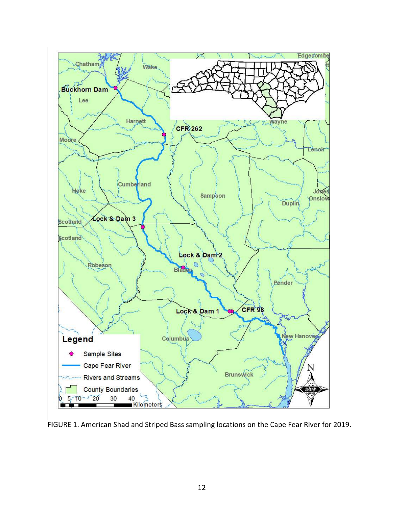

FIGURE 1. American Shad and Striped Bass sampling locations on the Cape Fear River for 2019.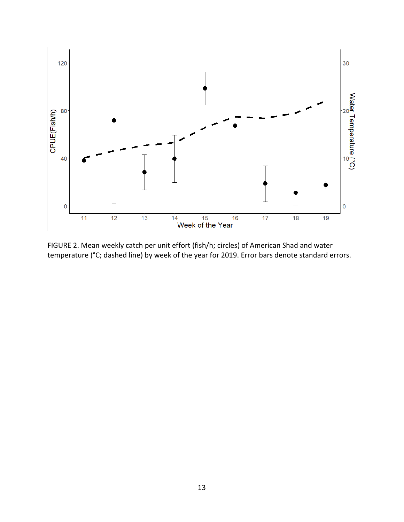

FIGURE 2. Mean weekly catch per unit effort (fish/h; circles) of American Shad and water temperature (°C; dashed line) by week of the year for 2019. Error bars denote standard errors.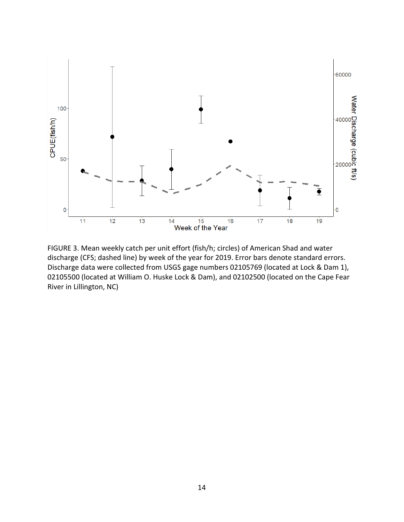

FIGURE 3. Mean weekly catch per unit effort (fish/h; circles) of American Shad and water discharge (CFS; dashed line) by week of the year for 2019. Error bars denote standard errors. Discharge data were collected from USGS gage numbers 02105769 (located at Lock & Dam 1), 02105500 (located at William O. Huske Lock & Dam), and 02102500 (located on the Cape Fear River in Lillington, NC)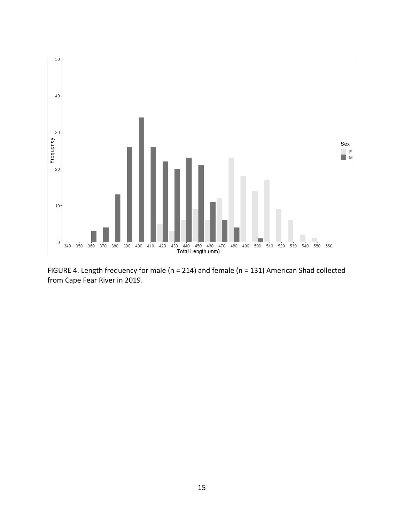

FIGURE 4. Length frequency for male (n = 214) and female (n = 131) American Shad collected from Cape Fear River in 2019.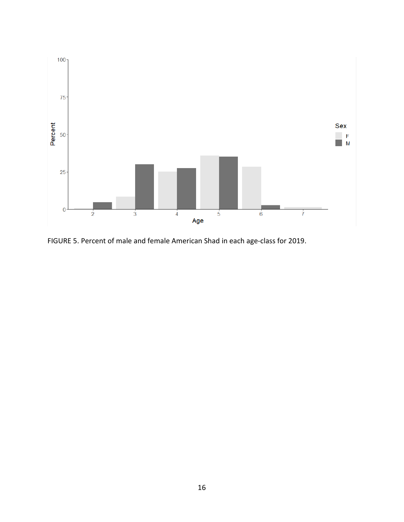

FIGURE 5. Percent of male and female American Shad in each age-class for 2019.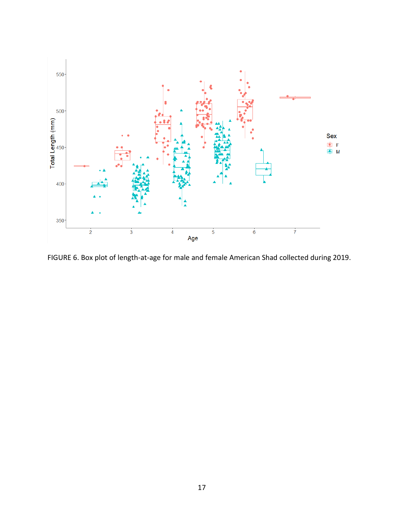

FIGURE 6. Box plot of length-at-age for male and female American Shad collected during 2019.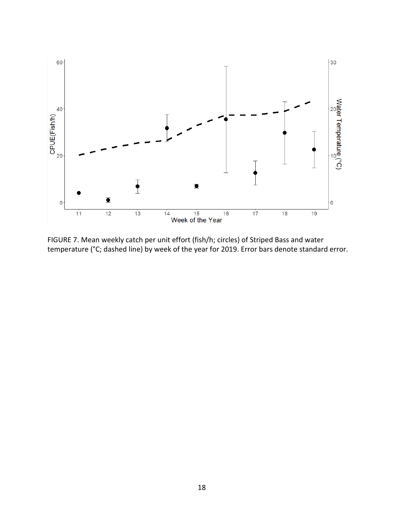

FIGURE 7. Mean weekly catch per unit effort (fish/h; circles) of Striped Bass and water temperature (°C; dashed line) by week of the year for 2019. Error bars denote standard error.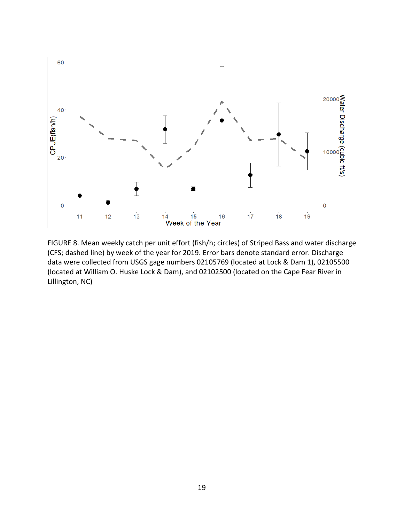

FIGURE 8. Mean weekly catch per unit effort (fish/h; circles) of Striped Bass and water discharge (CFS; dashed line) by week of the year for 2019. Error bars denote standard error. Discharge data were collected from USGS gage numbers 02105769 (located at Lock & Dam 1), 02105500 (located at William O. Huske Lock & Dam), and 02102500 (located on the Cape Fear River in Lillington, NC)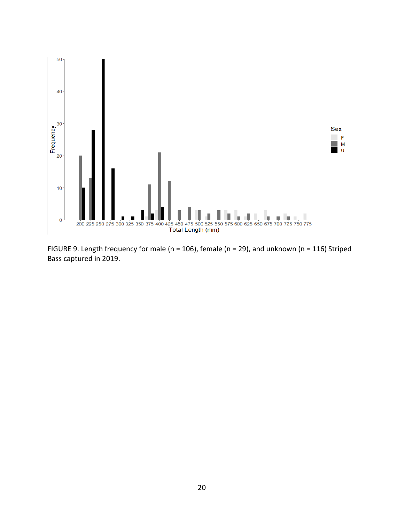

FIGURE 9. Length frequency for male (n = 106), female (n = 29), and unknown (n = 116) Striped Bass captured in 2019.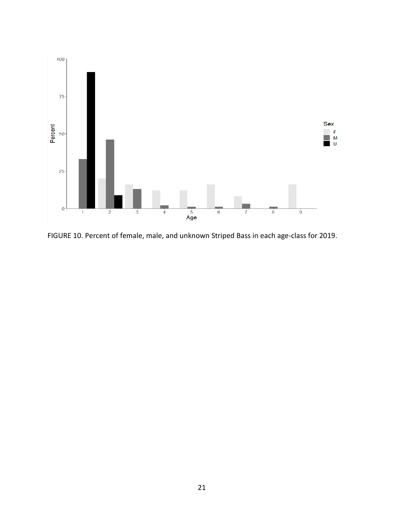

FIGURE 10. Percent of female, male, and unknown Striped Bass in each age-class for 2019.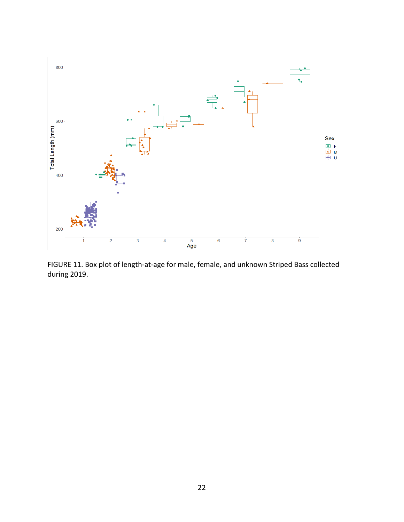

FIGURE 11. Box plot of length-at-age for male, female, and unknown Striped Bass collected during 2019.